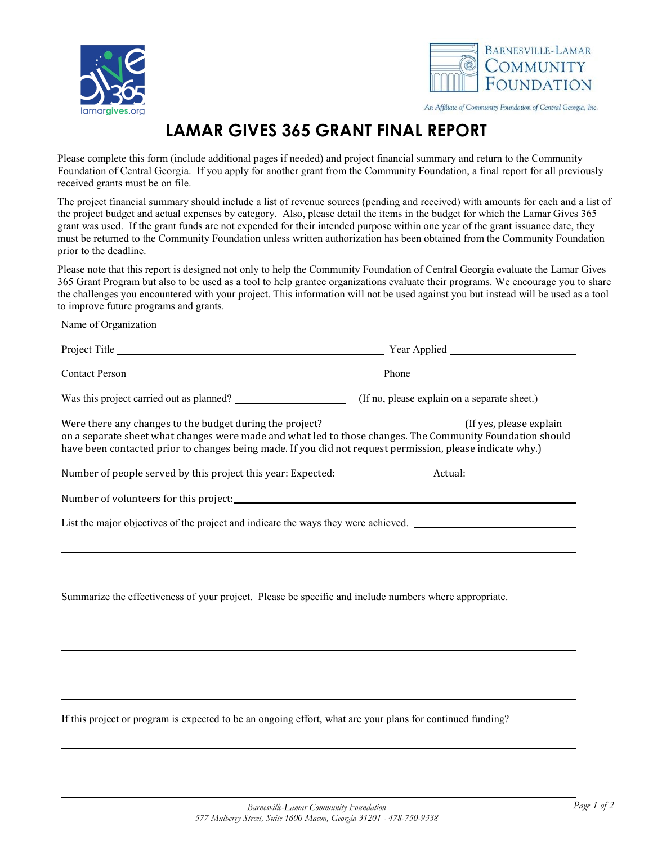

Name of Organization



An Affiliate of Community Foundation of Central Georgia, Inc.

## **LAMAR GIVES 365 GRANT FINAL REPORT**

Please complete this form (include additional pages if needed) and project financial summary and return to the Community Foundation of Central Georgia. If you apply for another grant from the Community Foundation, a final report for all previously received grants must be on file.

The project financial summary should include a list of revenue sources (pending and received) with amounts for each and a list of the project budget and actual expenses by category. Also, please detail the items in the budget for which the Lamar Gives 365 grant was used. If the grant funds are not expended for their intended purpose within one year of the grant issuance date, they must be returned to the Community Foundation unless written authorization has been obtained from the Community Foundation prior to the deadline.

Please note that this report is designed not only to help the Community Foundation of Central Georgia evaluate the Lamar Gives 365 Grant Program but also to be used as a tool to help grantee organizations evaluate their programs. We encourage you to share the challenges you encountered with your project. This information will not be used against you but instead will be used as a tool to improve future programs and grants.

| on a separate sheet what changes were made and what led to those changes. The Community Foundation should<br>have been contacted prior to changes being made. If you did not request permission, please indicate why.) |                                                                                  |
|------------------------------------------------------------------------------------------------------------------------------------------------------------------------------------------------------------------------|----------------------------------------------------------------------------------|
|                                                                                                                                                                                                                        |                                                                                  |
| Number of volunteers for this project: Number of volunteers for this project:                                                                                                                                          |                                                                                  |
| List the major objectives of the project and indicate the ways they were achieved. ___________________________                                                                                                         |                                                                                  |
|                                                                                                                                                                                                                        | ,我们也不会有什么。""我们的人,我们也不会有什么?""我们的人,我们也不会有什么?""我们的人,我们也不会有什么?""我们的人,我们也不会有什么?""我们的人 |
| ,我们也不会有什么。""我们的人,我们也不会有什么?""我们的人,我们也不会有什么?""我们的人,我们也不会有什么?""我们的人,我们也不会有什么?""我们的人                                                                                                                                       |                                                                                  |
| Summarize the effectiveness of your project. Please be specific and include numbers where appropriate.                                                                                                                 |                                                                                  |
|                                                                                                                                                                                                                        |                                                                                  |
|                                                                                                                                                                                                                        |                                                                                  |
|                                                                                                                                                                                                                        |                                                                                  |
|                                                                                                                                                                                                                        |                                                                                  |
| If this project or program is expected to be an ongoing effort, what are your plans for continued funding?                                                                                                             |                                                                                  |